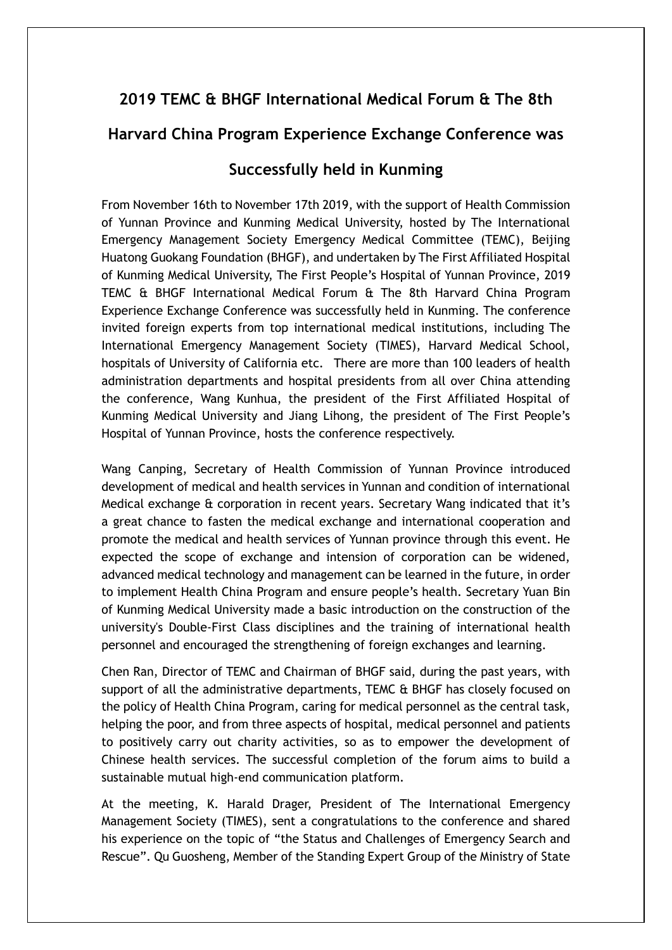## **2019 TEMC & BHGF International Medical Forum & The 8th**

## **Harvard China Program Experience Exchange Conference was**

## **Successfully held in Kunming**

From November 16th to November 17th 2019, with the support of Health Commission of Yunnan Province and Kunming Medical University, hosted by The International Emergency Management Society Emergency Medical Committee (TEMC), Beijing Huatong Guokang Foundation (BHGF), and undertaken by The First Affiliated Hospital of Kunming Medical University, The First People's Hospital of Yunnan Province, 2019 TEMC & BHGF International Medical Forum & The 8th Harvard China Program Experience Exchange Conference was successfully held in Kunming. The conference invited foreign experts from top international medical institutions, including The International Emergency Management Society (TIMES), Harvard Medical School, hospitals of University of California etc. There are more than 100 leaders of health administration departments and hospital presidents from all over China attending the conference, Wang Kunhua, the president of the First Affiliated Hospital of Kunming Medical University and Jiang Lihong, the president of The First People's Hospital of Yunnan Province, hosts the conference respectively.

Wang Canping, Secretary of Health Commission of Yunnan Province introduced development of medical and health services in Yunnan and condition of international Medical exchange & corporation in recent years. Secretary Wang indicated that it's a great chance to fasten the medical exchange and international cooperation and promote the medical and health services of Yunnan province through this event. He expected the scope of exchange and intension of corporation can be widened, advanced medical technology and management can be learned in the future, in order to implement Health China Program and ensure people's health. Secretary Yuan Bin of Kunming Medical University made a basic introduction on the construction of the university's Double-First Class disciplines and the training of international health personnel and encouraged the strengthening of foreign exchanges and learning.

Chen Ran, Director of TEMC and Chairman of BHGF said, during the past years, with support of all the administrative departments, TEMC & BHGF has closely focused on the policy of Health China Program, caring for medical personnel as the central task, helping the poor, and from three aspects of hospital, medical personnel and patients to positively carry out charity activities, so as to empower the development of Chinese health services. The successful completion of the forum aims to build a sustainable mutual high-end communication platform.

At the meeting, K. Harald Drager, President of The International Emergency Management Society (TIMES), sent a congratulations to the conference and shared his experience on the topic of "the Status and Challenges of Emergency Search and Rescue". Qu Guosheng, Member of the Standing Expert Group of the Ministry of State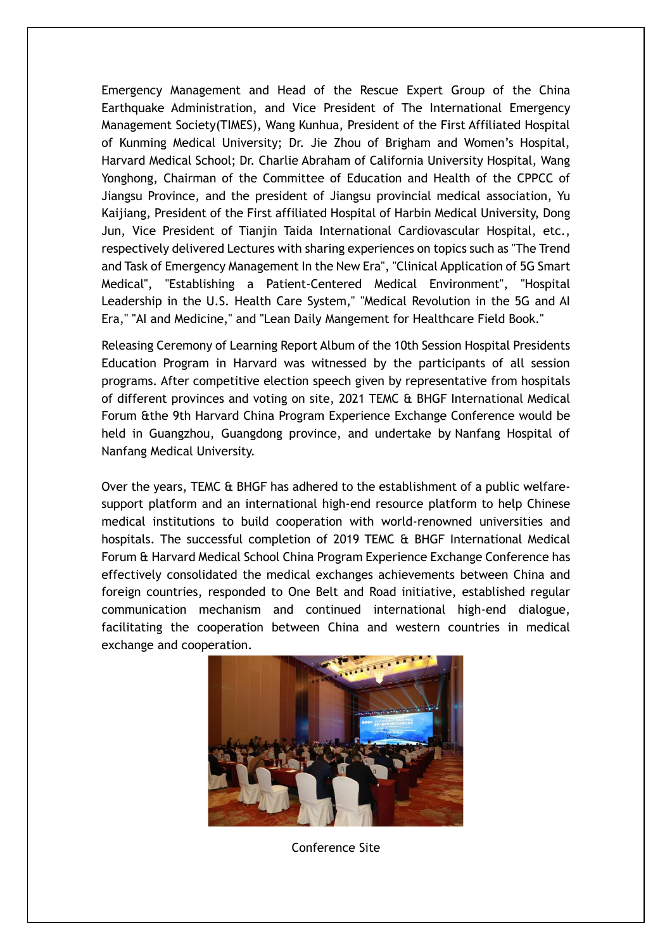Emergency Management and Head of the Rescue Expert Group of the China Earthquake Administration, and Vice President of The International Emergency Management Society(TIMES), Wang Kunhua, President of the First Affiliated Hospital of Kunming Medical University; Dr. Jie Zhou of Brigham and Women's Hospital, Harvard Medical School; Dr. Charlie Abraham of California University Hospital, Wang Yonghong, Chairman of the Committee of Education and Health of the CPPCC of Jiangsu Province, and the president of Jiangsu provincial medical association, Yu Kaijiang, President of the First affiliated Hospital of Harbin Medical University, Dong Jun, Vice President of Tianjin Taida International Cardiovascular Hospital, etc., respectively delivered Lectures with sharing experiences on topics such as "The Trend and Task of Emergency Management In the New Era", "Clinical Application of 5G Smart Medical", "Establishing a Patient-Centered Medical Environment", "Hospital Leadership in the U.S. Health Care System," "Medical Revolution in the 5G and AI Era," "AI and Medicine," and "Lean Daily Mangement for Healthcare Field Book."

Releasing Ceremony of Learning Report Album of the 10th Session Hospital Presidents Education Program in Harvard was witnessed by the participants of all session programs. After competitive election speech given by representative from hospitals of different provinces and voting on site, 2021 TEMC & BHGF International Medical Forum &the 9th Harvard China Program Experience Exchange Conference would be held in Guangzhou, Guangdong province, and undertake by Nanfang Hospital of Nanfang Medical University.

Over the years, TEMC & BHGF has adhered to the establishment of a public welfaresupport platform and an international high-end resource platform to help Chinese medical institutions to build cooperation with world-renowned universities and hospitals. The successful completion of 2019 TEMC & BHGF International Medical Forum & Harvard Medical School China Program Experience Exchange Conference has effectively consolidated the medical exchanges achievements between China and foreign countries, responded to One Belt and Road initiative, established regular communication mechanism and continued international high-end dialogue, facilitating the cooperation between China and western countries in medical exchange and cooperation.



Conference Site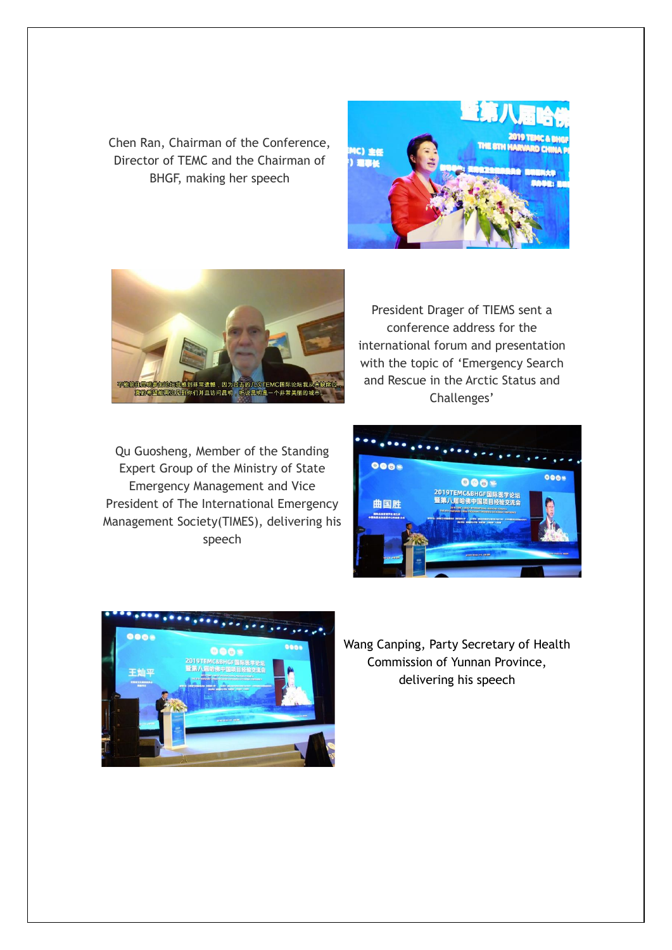Chen Ran, Chairman of the Conference, Director of TEMC and the Chairman of BHGF, making her speech





Qu Guosheng, Member of the Standing Expert Group of the Ministry of State Emergency Management and Vice President of The International Emergency Management Society(TIMES), delivering his speech

President Drager of TIEMS sent a conference address for the international forum and presentation with the topic of 'Emergency Search and Rescue in the Arctic Status and Challenges'





Wang Canping, Party Secretary of Health Commission of Yunnan Province, delivering his speech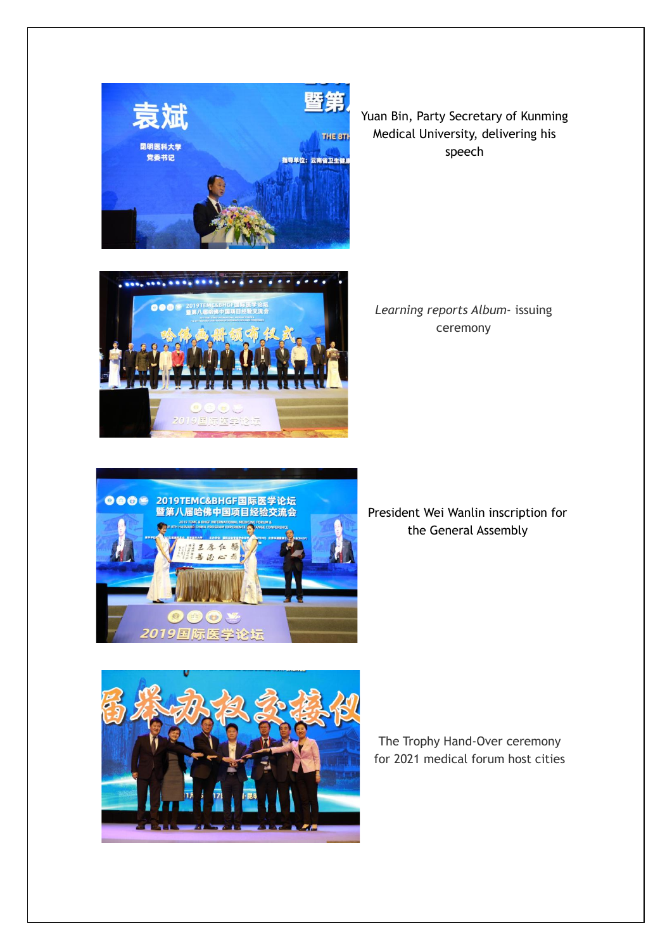

Yuan Bin, Party Secretary of Kunming Medical University, delivering his speech



*Learning reports Album*- issuing ceremony



President Wei Wanlin inscription for the General Assembly



The Trophy Hand-Over ceremony for 2021 medical forum host cities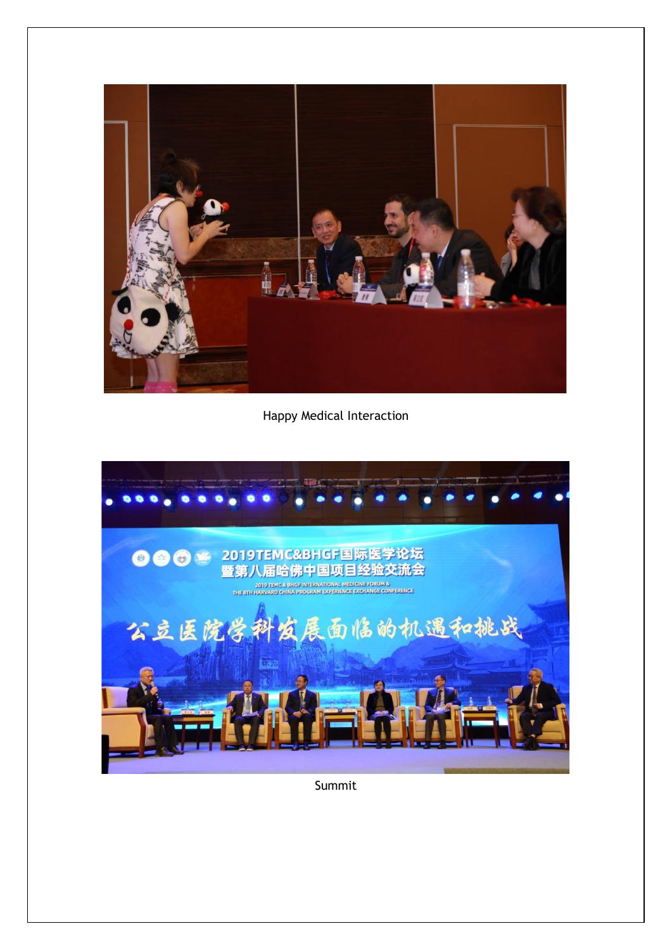

Happy Medical Interaction



Summit